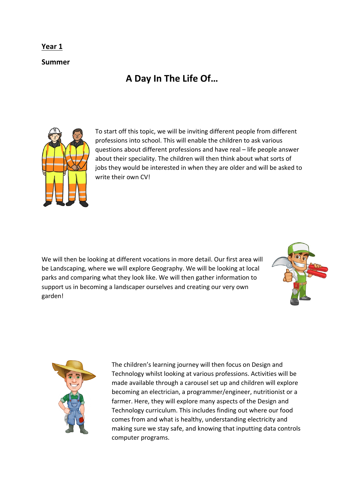## **Year 1**

**Summer**

## **A Day In The Life Of…**



To start off this topic, we will be inviting different people from different professions into school. This will enable the children to ask various questions about different professions and have real – life people answer about their speciality. The children will then think about what sorts of jobs they would be interested in when they are older and will be asked to write their own CV!

We will then be looking at different vocations in more detail. Our first area will be Landscaping, where we will explore Geography. We will be looking at local parks and comparing what they look like. We will then gather information to support us in becoming a landscaper ourselves and creating our very own garden!





The children's learning journey will then focus on Design and Technology whilst looking at various professions. Activities will be made available through a carousel set up and children will explore becoming an electrician, a programmer/engineer, nutritionist or a farmer. Here, they will explore many aspects of the Design and Technology curriculum. This includes finding out where our food comes from and what is healthy, understanding electricity and making sure we stay safe, and knowing that inputting data controls computer programs.